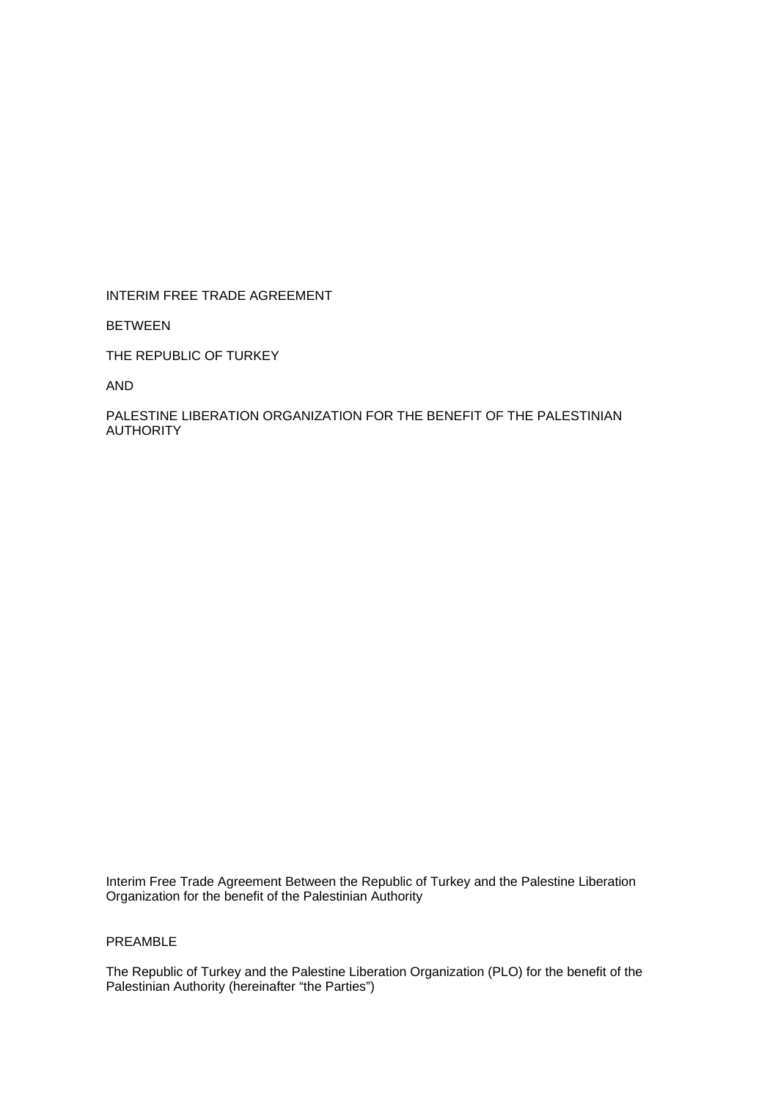INTERIM FREE TRADE AGREEMENT

BETWEEN

THE REPUBLIC OF TURKEY

AND

PALESTINE LIBERATION ORGANIZATION FOR THE BENEFIT OF THE PALESTINIAN AUTHORITY

Interim Free Trade Agreement Between the Republic of Turkey and the Palestine Liberation Organization for the benefit of the Palestinian Authority

# PREAMBLE

The Republic of Turkey and the Palestine Liberation Organization (PLO) for the benefit of the Palestinian Authority (hereinafter "the Parties")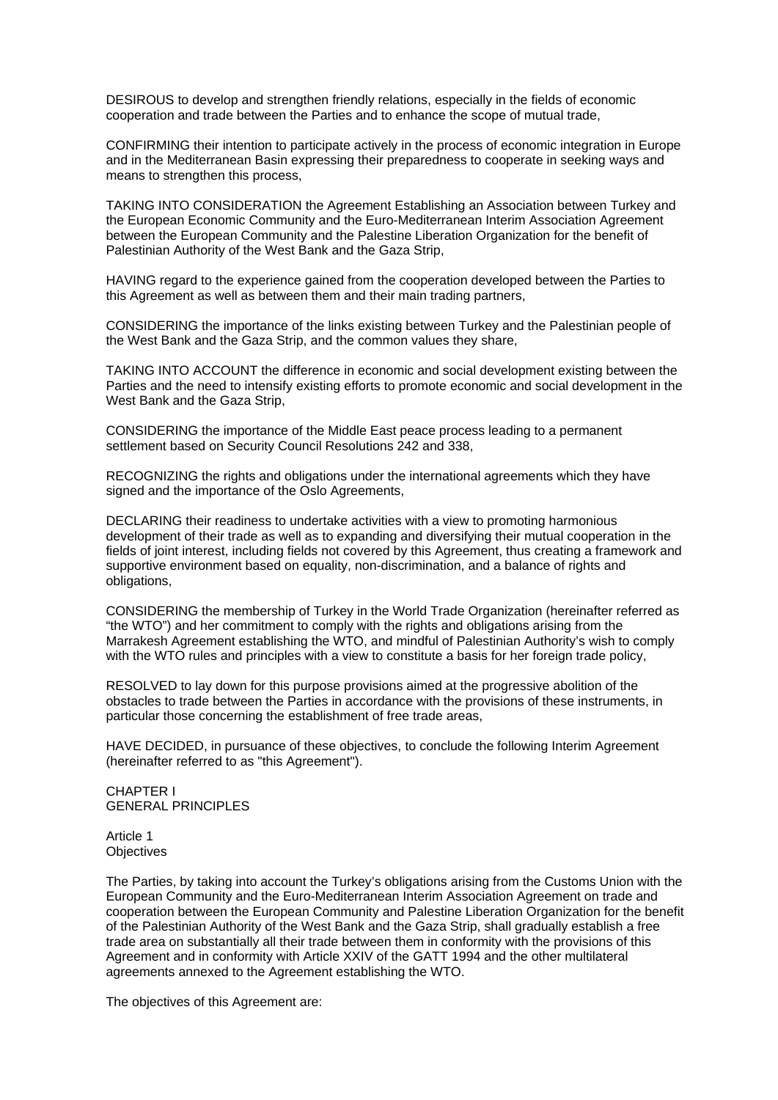DESIROUS to develop and strengthen friendly relations, especially in the fields of economic cooperation and trade between the Parties and to enhance the scope of mutual trade,

CONFIRMING their intention to participate actively in the process of economic integration in Europe and in the Mediterranean Basin expressing their preparedness to cooperate in seeking ways and means to strengthen this process,

TAKING INTO CONSIDERATION the Agreement Establishing an Association between Turkey and the European Economic Community and the Euro-Mediterranean Interim Association Agreement between the European Community and the Palestine Liberation Organization for the benefit of Palestinian Authority of the West Bank and the Gaza Strip,

HAVING regard to the experience gained from the cooperation developed between the Parties to this Agreement as well as between them and their main trading partners,

CONSIDERING the importance of the links existing between Turkey and the Palestinian people of the West Bank and the Gaza Strip, and the common values they share,

TAKING INTO ACCOUNT the difference in economic and social development existing between the Parties and the need to intensify existing efforts to promote economic and social development in the West Bank and the Gaza Strip,

CONSIDERING the importance of the Middle East peace process leading to a permanent settlement based on Security Council Resolutions 242 and 338,

RECOGNIZING the rights and obligations under the international agreements which they have signed and the importance of the Oslo Agreements,

DECLARING their readiness to undertake activities with a view to promoting harmonious development of their trade as well as to expanding and diversifying their mutual cooperation in the fields of joint interest, including fields not covered by this Agreement, thus creating a framework and supportive environment based on equality, non-discrimination, and a balance of rights and obligations,

CONSIDERING the membership of Turkey in the World Trade Organization (hereinafter referred as "the WTO") and her commitment to comply with the rights and obligations arising from the Marrakesh Agreement establishing the WTO, and mindful of Palestinian Authority's wish to comply with the WTO rules and principles with a view to constitute a basis for her foreign trade policy,

RESOLVED to lay down for this purpose provisions aimed at the progressive abolition of the obstacles to trade between the Parties in accordance with the provisions of these instruments, in particular those concerning the establishment of free trade areas,

HAVE DECIDED, in pursuance of these objectives, to conclude the following Interim Agreement (hereinafter referred to as "this Agreement").

CHAPTER I GENERAL PRINCIPLES

Article 1 **Objectives** 

The Parties, by taking into account the Turkey's obligations arising from the Customs Union with the European Community and the Euro-Mediterranean Interim Association Agreement on trade and cooperation between the European Community and Palestine Liberation Organization for the benefit of the Palestinian Authority of the West Bank and the Gaza Strip, shall gradually establish a free trade area on substantially all their trade between them in conformity with the provisions of this Agreement and in conformity with Article XXIV of the GATT 1994 and the other multilateral agreements annexed to the Agreement establishing the WTO.

The objectives of this Agreement are: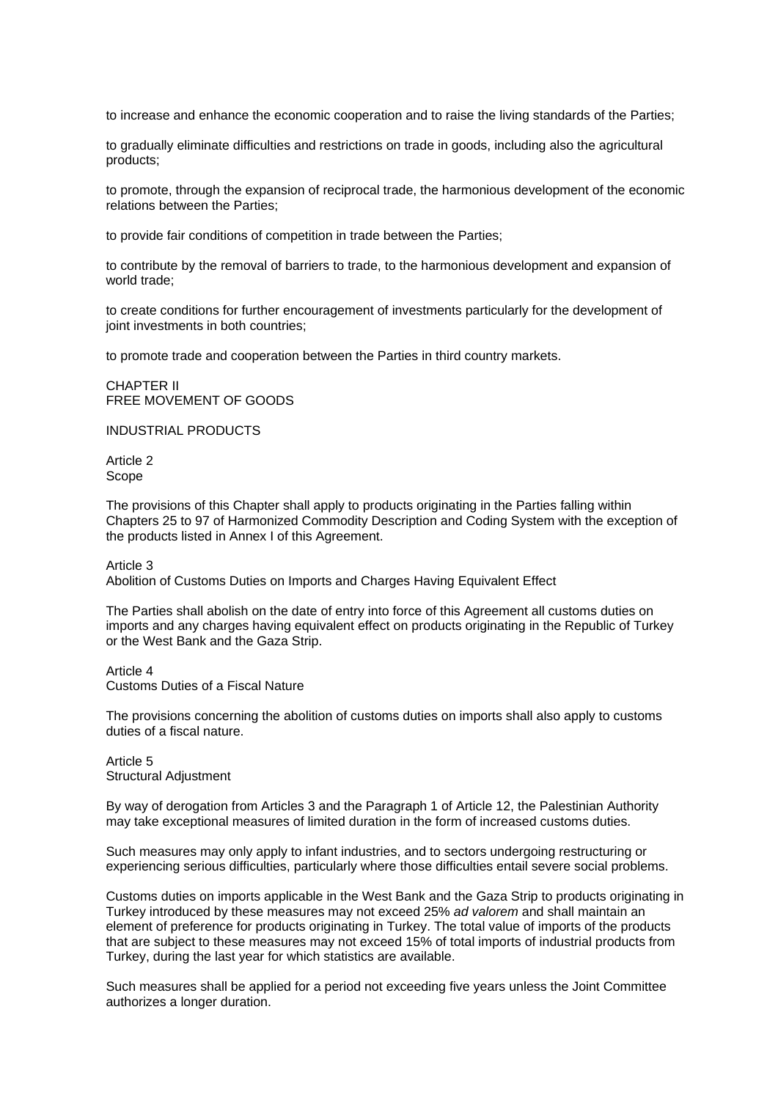to increase and enhance the economic cooperation and to raise the living standards of the Parties;

to gradually eliminate difficulties and restrictions on trade in goods, including also the agricultural products;

to promote, through the expansion of reciprocal trade, the harmonious development of the economic relations between the Parties;

to provide fair conditions of competition in trade between the Parties;

to contribute by the removal of barriers to trade, to the harmonious development and expansion of world trade;

to create conditions for further encouragement of investments particularly for the development of joint investments in both countries;

to promote trade and cooperation between the Parties in third country markets.

CHAPTER II FREE MOVEMENT OF GOODS

INDUSTRIAL PRODUCTS

Article 2 Scope

The provisions of this Chapter shall apply to products originating in the Parties falling within Chapters 25 to 97 of Harmonized Commodity Description and Coding System with the exception of the products listed in Annex I of this Agreement.

Article 3

Abolition of Customs Duties on Imports and Charges Having Equivalent Effect

The Parties shall abolish on the date of entry into force of this Agreement all customs duties on imports and any charges having equivalent effect on products originating in the Republic of Turkey or the West Bank and the Gaza Strip.

Article 4 Customs Duties of a Fiscal Nature

The provisions concerning the abolition of customs duties on imports shall also apply to customs duties of a fiscal nature.

Article 5 Structural Adjustment

By way of derogation from Articles 3 and the Paragraph 1 of Article 12, the Palestinian Authority may take exceptional measures of limited duration in the form of increased customs duties.

Such measures may only apply to infant industries, and to sectors undergoing restructuring or experiencing serious difficulties, particularly where those difficulties entail severe social problems.

Customs duties on imports applicable in the West Bank and the Gaza Strip to products originating in Turkey introduced by these measures may not exceed 25% *ad valorem* and shall maintain an element of preference for products originating in Turkey. The total value of imports of the products that are subject to these measures may not exceed 15% of total imports of industrial products from Turkey, during the last year for which statistics are available.

Such measures shall be applied for a period not exceeding five years unless the Joint Committee authorizes a longer duration.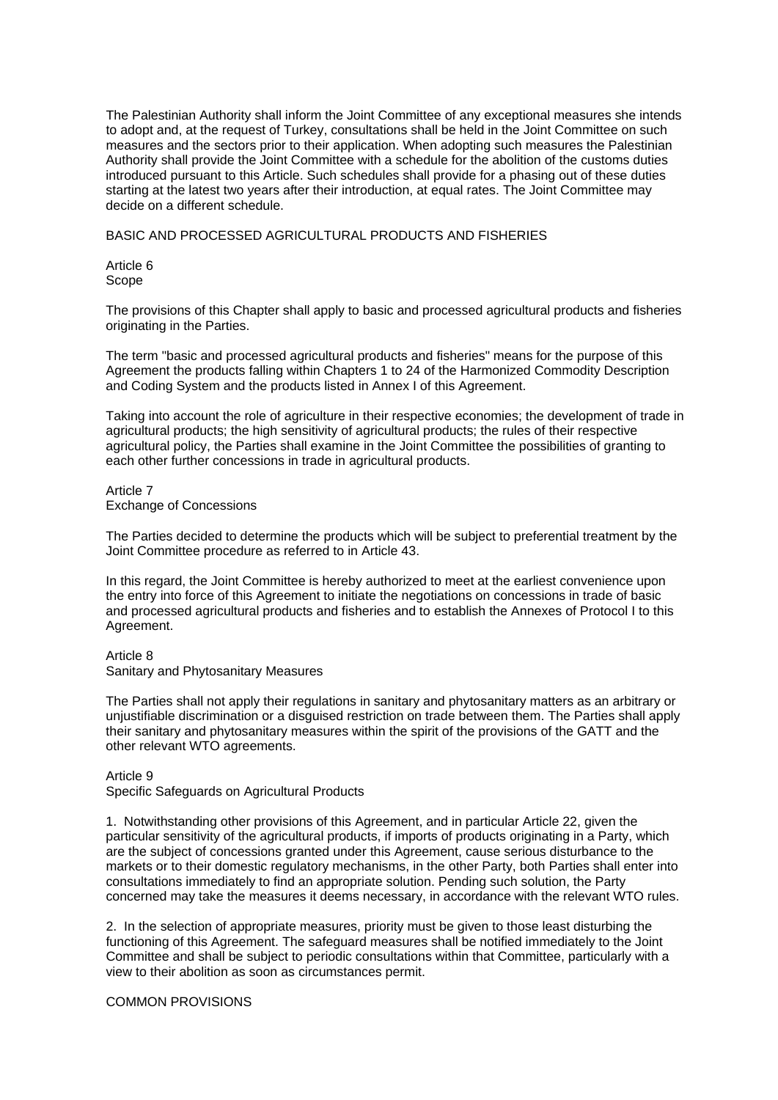The Palestinian Authority shall inform the Joint Committee of any exceptional measures she intends to adopt and, at the request of Turkey, consultations shall be held in the Joint Committee on such measures and the sectors prior to their application. When adopting such measures the Palestinian Authority shall provide the Joint Committee with a schedule for the abolition of the customs duties introduced pursuant to this Article. Such schedules shall provide for a phasing out of these duties starting at the latest two years after their introduction, at equal rates. The Joint Committee may decide on a different schedule.

BASIC AND PROCESSED AGRICULTURAL PRODUCTS AND FISHERIES

Article 6 Scope

The provisions of this Chapter shall apply to basic and processed agricultural products and fisheries originating in the Parties.

The term "basic and processed agricultural products and fisheries" means for the purpose of this Agreement the products falling within Chapters 1 to 24 of the Harmonized Commodity Description and Coding System and the products listed in Annex I of this Agreement.

Taking into account the role of agriculture in their respective economies; the development of trade in agricultural products; the high sensitivity of agricultural products; the rules of their respective agricultural policy, the Parties shall examine in the Joint Committee the possibilities of granting to each other further concessions in trade in agricultural products.

Article 7 Exchange of Concessions

The Parties decided to determine the products which will be subject to preferential treatment by the Joint Committee procedure as referred to in Article 43.

In this regard, the Joint Committee is hereby authorized to meet at the earliest convenience upon the entry into force of this Agreement to initiate the negotiations on concessions in trade of basic and processed agricultural products and fisheries and to establish the Annexes of Protocol I to this Agreement.

Article 8 Sanitary and Phytosanitary Measures

The Parties shall not apply their regulations in sanitary and phytosanitary matters as an arbitrary or unjustifiable discrimination or a disguised restriction on trade between them. The Parties shall apply their sanitary and phytosanitary measures within the spirit of the provisions of the GATT and the other relevant WTO agreements.

Article 9

Specific Safeguards on Agricultural Products

1. Notwithstanding other provisions of this Agreement, and in particular Article 22, given the particular sensitivity of the agricultural products, if imports of products originating in a Party, which are the subject of concessions granted under this Agreement, cause serious disturbance to the markets or to their domestic regulatory mechanisms, in the other Party, both Parties shall enter into consultations immediately to find an appropriate solution. Pending such solution, the Party concerned may take the measures it deems necessary, in accordance with the relevant WTO rules.

2. In the selection of appropriate measures, priority must be given to those least disturbing the functioning of this Agreement. The safeguard measures shall be notified immediately to the Joint Committee and shall be subject to periodic consultations within that Committee, particularly with a view to their abolition as soon as circumstances permit.

COMMON PROVISIONS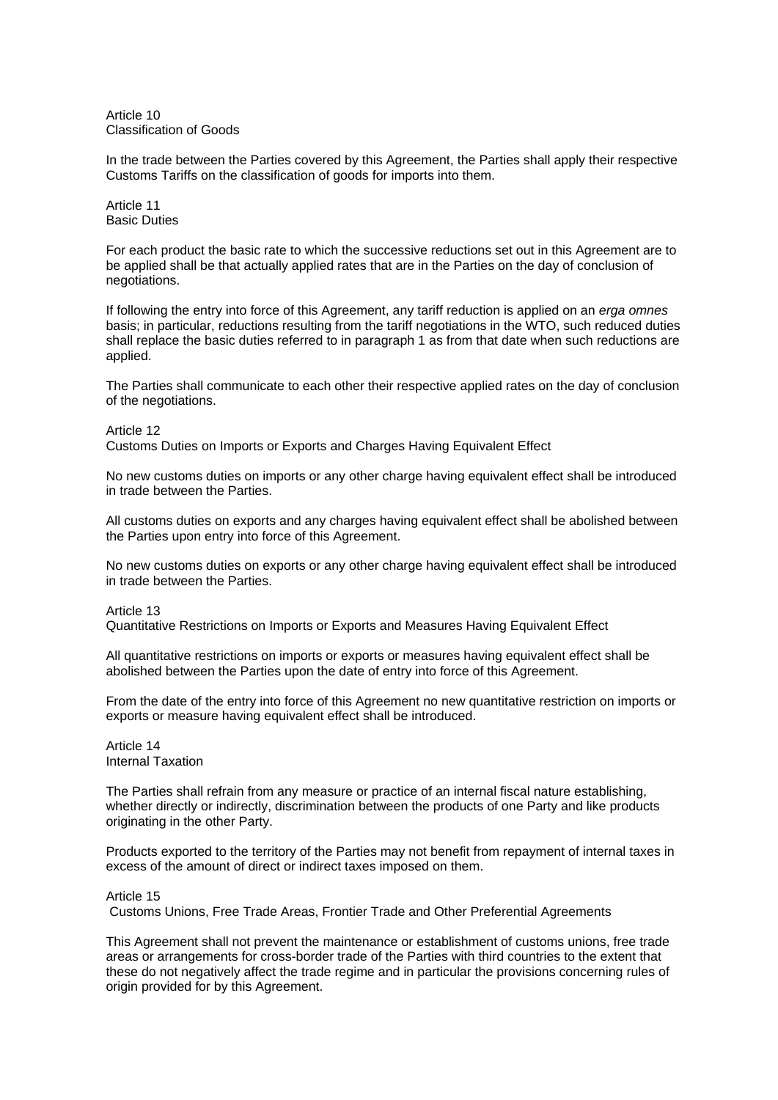Article 10 Classification of Goods

In the trade between the Parties covered by this Agreement, the Parties shall apply their respective Customs Tariffs on the classification of goods for imports into them.

Article 11 Basic Duties

For each product the basic rate to which the successive reductions set out in this Agreement are to be applied shall be that actually applied rates that are in the Parties on the day of conclusion of negotiations.

If following the entry into force of this Agreement, any tariff reduction is applied on an *erga omnes* basis; in particular, reductions resulting from the tariff negotiations in the WTO, such reduced duties shall replace the basic duties referred to in paragraph 1 as from that date when such reductions are applied.

The Parties shall communicate to each other their respective applied rates on the day of conclusion of the negotiations.

Article 12

Customs Duties on Imports or Exports and Charges Having Equivalent Effect

No new customs duties on imports or any other charge having equivalent effect shall be introduced in trade between the Parties.

All customs duties on exports and any charges having equivalent effect shall be abolished between the Parties upon entry into force of this Agreement.

No new customs duties on exports or any other charge having equivalent effect shall be introduced in trade between the Parties.

Article 13

Quantitative Restrictions on Imports or Exports and Measures Having Equivalent Effect

All quantitative restrictions on imports or exports or measures having equivalent effect shall be abolished between the Parties upon the date of entry into force of this Agreement.

From the date of the entry into force of this Agreement no new quantitative restriction on imports or exports or measure having equivalent effect shall be introduced.

Article 14 Internal Taxation

The Parties shall refrain from any measure or practice of an internal fiscal nature establishing, whether directly or indirectly, discrimination between the products of one Party and like products originating in the other Party.

Products exported to the territory of the Parties may not benefit from repayment of internal taxes in excess of the amount of direct or indirect taxes imposed on them.

Article 15

Customs Unions, Free Trade Areas, Frontier Trade and Other Preferential Agreements

This Agreement shall not prevent the maintenance or establishment of customs unions, free trade areas or arrangements for cross-border trade of the Parties with third countries to the extent that these do not negatively affect the trade regime and in particular the provisions concerning rules of origin provided for by this Agreement.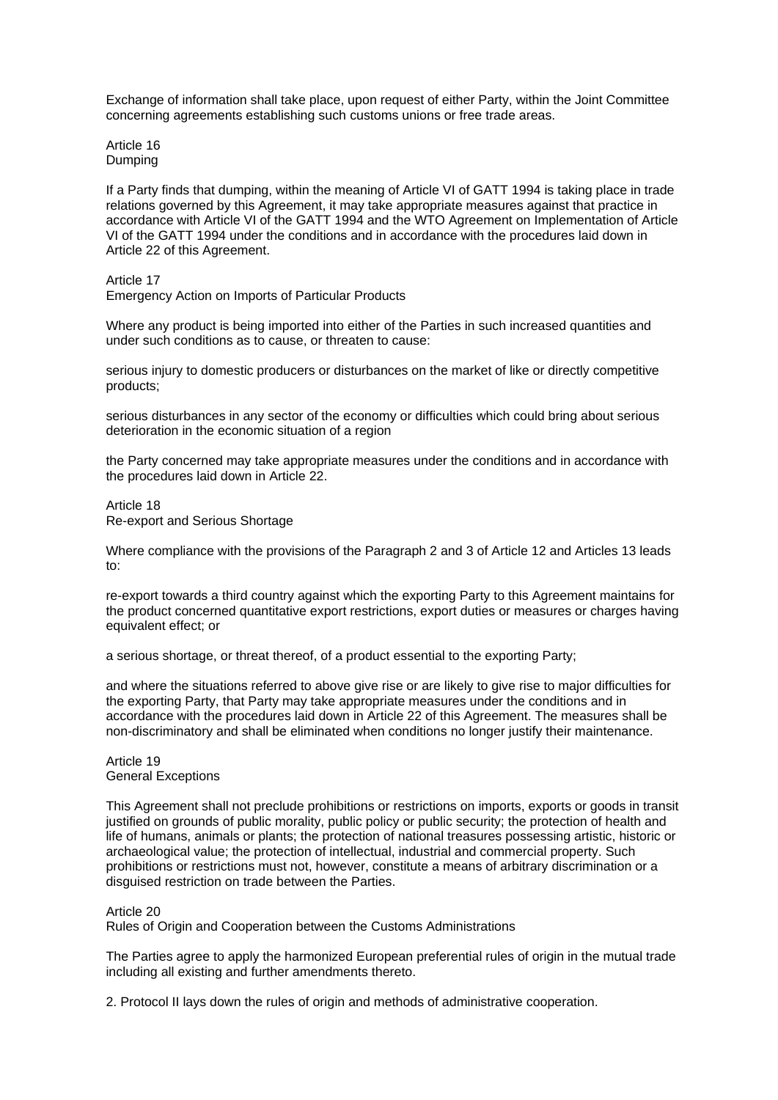Exchange of information shall take place, upon request of either Party, within the Joint Committee concerning agreements establishing such customs unions or free trade areas.

Article 16 Dumping

If a Party finds that dumping, within the meaning of Article VI of GATT 1994 is taking place in trade relations governed by this Agreement, it may take appropriate measures against that practice in accordance with Article VI of the GATT 1994 and the WTO Agreement on Implementation of Article VI of the GATT 1994 under the conditions and in accordance with the procedures laid down in Article 22 of this Agreement.

Article 17

Emergency Action on Imports of Particular Products

Where any product is being imported into either of the Parties in such increased quantities and under such conditions as to cause, or threaten to cause:

serious injury to domestic producers or disturbances on the market of like or directly competitive products;

serious disturbances in any sector of the economy or difficulties which could bring about serious deterioration in the economic situation of a region

the Party concerned may take appropriate measures under the conditions and in accordance with the procedures laid down in Article 22.

Article 18 Re-export and Serious Shortage

Where compliance with the provisions of the Paragraph 2 and 3 of Article 12 and Articles 13 leads to:

re-export towards a third country against which the exporting Party to this Agreement maintains for the product concerned quantitative export restrictions, export duties or measures or charges having equivalent effect; or

a serious shortage, or threat thereof, of a product essential to the exporting Party;

and where the situations referred to above give rise or are likely to give rise to major difficulties for the exporting Party, that Party may take appropriate measures under the conditions and in accordance with the procedures laid down in Article 22 of this Agreement. The measures shall be non-discriminatory and shall be eliminated when conditions no longer justify their maintenance.

Article 19 General Exceptions

This Agreement shall not preclude prohibitions or restrictions on imports, exports or goods in transit justified on grounds of public morality, public policy or public security; the protection of health and life of humans, animals or plants; the protection of national treasures possessing artistic, historic or archaeological value; the protection of intellectual, industrial and commercial property. Such prohibitions or restrictions must not, however, constitute a means of arbitrary discrimination or a disguised restriction on trade between the Parties.

### Article 20

Rules of Origin and Cooperation between the Customs Administrations

The Parties agree to apply the harmonized European preferential rules of origin in the mutual trade including all existing and further amendments thereto.

2. Protocol II lays down the rules of origin and methods of administrative cooperation.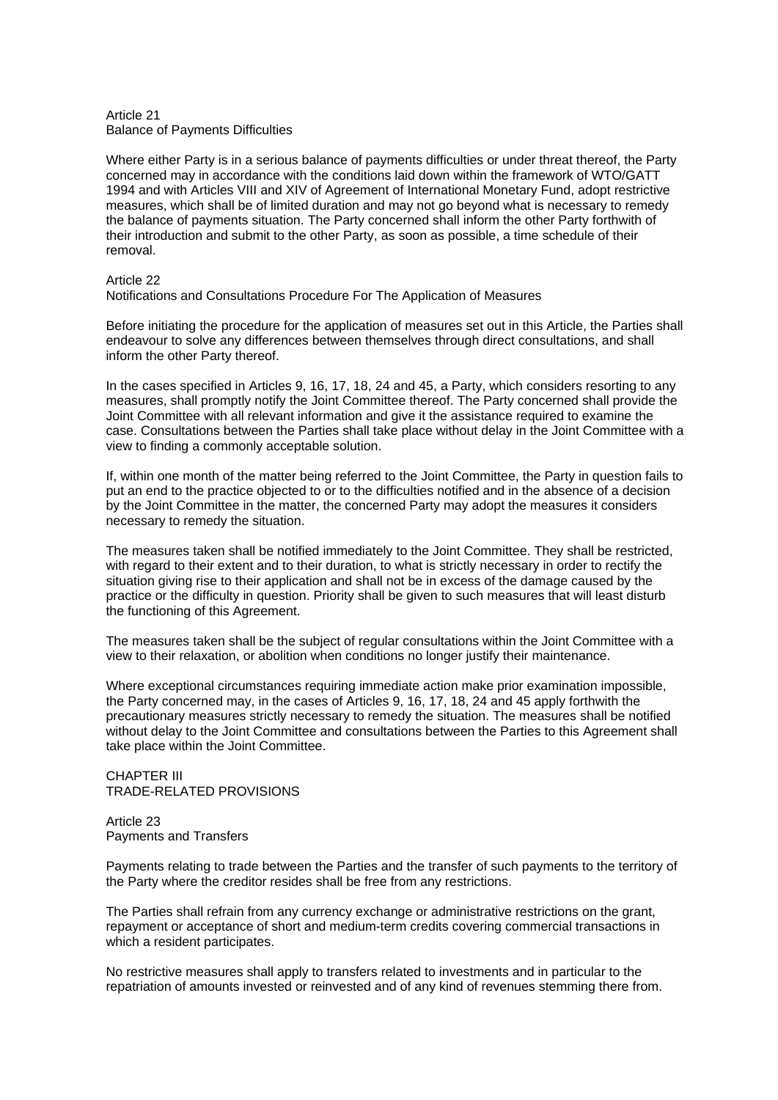### Article 21 Balance of Payments Difficulties

Where either Party is in a serious balance of payments difficulties or under threat thereof, the Party concerned may in accordance with the conditions laid down within the framework of WTO/GATT 1994 and with Articles VIII and XIV of Agreement of International Monetary Fund, adopt restrictive measures, which shall be of limited duration and may not go beyond what is necessary to remedy the balance of payments situation. The Party concerned shall inform the other Party forthwith of their introduction and submit to the other Party, as soon as possible, a time schedule of their removal.

## Article 22

Notifications and Consultations Procedure For The Application of Measures

Before initiating the procedure for the application of measures set out in this Article, the Parties shall endeavour to solve any differences between themselves through direct consultations, and shall inform the other Party thereof.

In the cases specified in Articles 9, 16, 17, 18, 24 and 45, a Party, which considers resorting to any measures, shall promptly notify the Joint Committee thereof. The Party concerned shall provide the Joint Committee with all relevant information and give it the assistance required to examine the case. Consultations between the Parties shall take place without delay in the Joint Committee with a view to finding a commonly acceptable solution.

If, within one month of the matter being referred to the Joint Committee, the Party in question fails to put an end to the practice objected to or to the difficulties notified and in the absence of a decision by the Joint Committee in the matter, the concerned Party may adopt the measures it considers necessary to remedy the situation.

The measures taken shall be notified immediately to the Joint Committee. They shall be restricted, with regard to their extent and to their duration, to what is strictly necessary in order to rectify the situation giving rise to their application and shall not be in excess of the damage caused by the practice or the difficulty in question. Priority shall be given to such measures that will least disturb the functioning of this Agreement.

The measures taken shall be the subject of regular consultations within the Joint Committee with a view to their relaxation, or abolition when conditions no longer justify their maintenance.

Where exceptional circumstances requiring immediate action make prior examination impossible, the Party concerned may, in the cases of Articles 9, 16, 17, 18, 24 and 45 apply forthwith the precautionary measures strictly necessary to remedy the situation. The measures shall be notified without delay to the Joint Committee and consultations between the Parties to this Agreement shall take place within the Joint Committee.

### CHAPTER III TRADE-RELATED PROVISIONS

Article 23 Payments and Transfers

Payments relating to trade between the Parties and the transfer of such payments to the territory of the Party where the creditor resides shall be free from any restrictions.

The Parties shall refrain from any currency exchange or administrative restrictions on the grant, repayment or acceptance of short and medium-term credits covering commercial transactions in which a resident participates.

No restrictive measures shall apply to transfers related to investments and in particular to the repatriation of amounts invested or reinvested and of any kind of revenues stemming there from.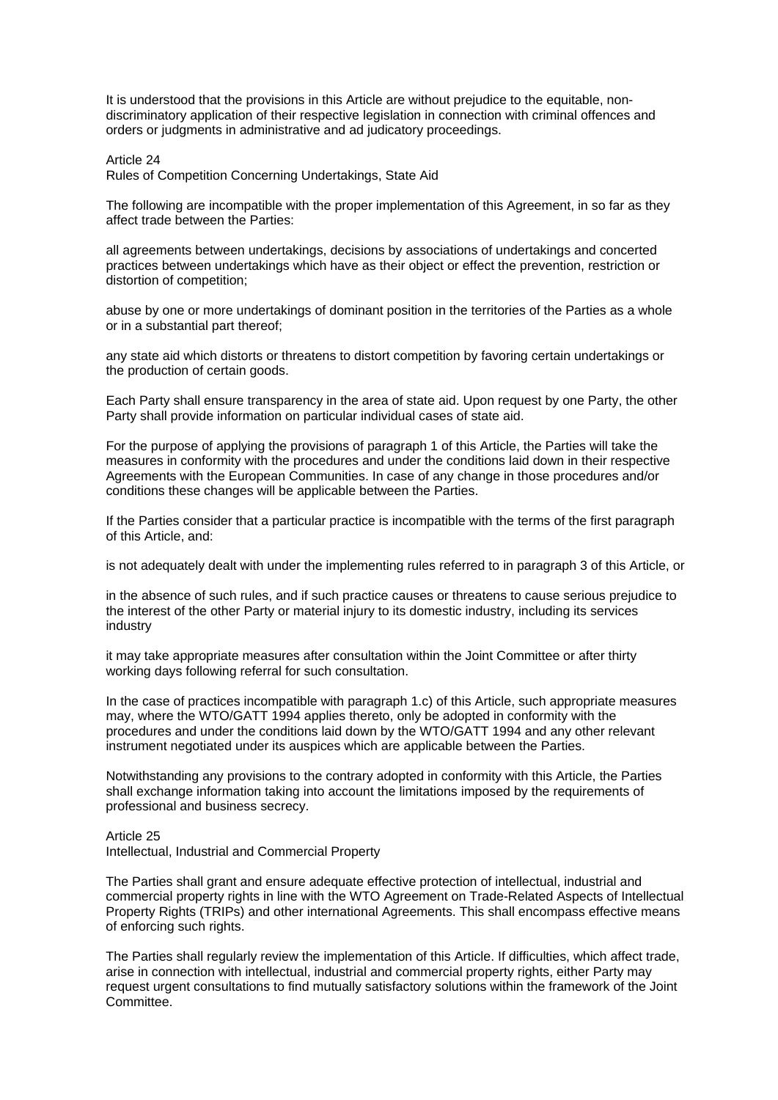It is understood that the provisions in this Article are without prejudice to the equitable, nondiscriminatory application of their respective legislation in connection with criminal offences and orders or judgments in administrative and ad judicatory proceedings.

### Article 24

Rules of Competition Concerning Undertakings, State Aid

The following are incompatible with the proper implementation of this Agreement, in so far as they affect trade between the Parties:

all agreements between undertakings, decisions by associations of undertakings and concerted practices between undertakings which have as their object or effect the prevention, restriction or distortion of competition;

abuse by one or more undertakings of dominant position in the territories of the Parties as a whole or in a substantial part thereof;

any state aid which distorts or threatens to distort competition by favoring certain undertakings or the production of certain goods.

Each Party shall ensure transparency in the area of state aid. Upon request by one Party, the other Party shall provide information on particular individual cases of state aid.

For the purpose of applying the provisions of paragraph 1 of this Article, the Parties will take the measures in conformity with the procedures and under the conditions laid down in their respective Agreements with the European Communities. In case of any change in those procedures and/or conditions these changes will be applicable between the Parties.

If the Parties consider that a particular practice is incompatible with the terms of the first paragraph of this Article, and:

is not adequately dealt with under the implementing rules referred to in paragraph 3 of this Article, or

in the absence of such rules, and if such practice causes or threatens to cause serious prejudice to the interest of the other Party or material injury to its domestic industry, including its services industry

it may take appropriate measures after consultation within the Joint Committee or after thirty working days following referral for such consultation.

In the case of practices incompatible with paragraph 1.c) of this Article, such appropriate measures may, where the WTO/GATT 1994 applies thereto, only be adopted in conformity with the procedures and under the conditions laid down by the WTO/GATT 1994 and any other relevant instrument negotiated under its auspices which are applicable between the Parties.

Notwithstanding any provisions to the contrary adopted in conformity with this Article, the Parties shall exchange information taking into account the limitations imposed by the requirements of professional and business secrecy.

#### Article 25

Intellectual, Industrial and Commercial Property

The Parties shall grant and ensure adequate effective protection of intellectual, industrial and commercial property rights in line with the WTO Agreement on Trade-Related Aspects of Intellectual Property Rights (TRIPs) and other international Agreements. This shall encompass effective means of enforcing such rights.

The Parties shall regularly review the implementation of this Article. If difficulties, which affect trade, arise in connection with intellectual, industrial and commercial property rights, either Party may request urgent consultations to find mutually satisfactory solutions within the framework of the Joint Committee.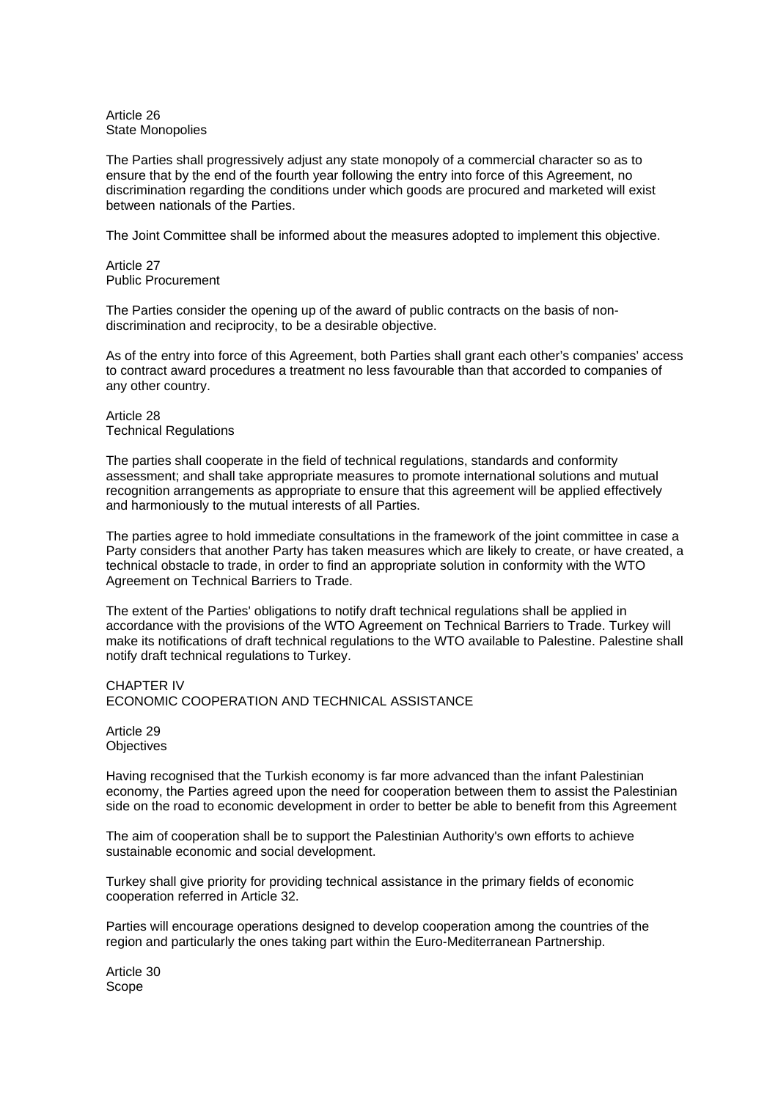Article 26 State Monopolies

The Parties shall progressively adjust any state monopoly of a commercial character so as to ensure that by the end of the fourth year following the entry into force of this Agreement, no discrimination regarding the conditions under which goods are procured and marketed will exist between nationals of the Parties.

The Joint Committee shall be informed about the measures adopted to implement this objective.

Article 27 Public Procurement

The Parties consider the opening up of the award of public contracts on the basis of nondiscrimination and reciprocity, to be a desirable objective.

As of the entry into force of this Agreement, both Parties shall grant each other's companies' access to contract award procedures a treatment no less favourable than that accorded to companies of any other country.

Article 28 Technical Regulations

The parties shall cooperate in the field of technical regulations, standards and conformity assessment; and shall take appropriate measures to promote international solutions and mutual recognition arrangements as appropriate to ensure that this agreement will be applied effectively and harmoniously to the mutual interests of all Parties.

The parties agree to hold immediate consultations in the framework of the joint committee in case a Party considers that another Party has taken measures which are likely to create, or have created, a technical obstacle to trade, in order to find an appropriate solution in conformity with the WTO Agreement on Technical Barriers to Trade.

The extent of the Parties' obligations to notify draft technical regulations shall be applied in accordance with the provisions of the WTO Agreement on Technical Barriers to Trade. Turkey will make its notifications of draft technical regulations to the WTO available to Palestine. Palestine shall notify draft technical regulations to Turkey.

CHAPTER IV ECONOMIC COOPERATION AND TECHNICAL ASSISTANCE

Article 29 **Objectives** 

Having recognised that the Turkish economy is far more advanced than the infant Palestinian economy, the Parties agreed upon the need for cooperation between them to assist the Palestinian side on the road to economic development in order to better be able to benefit from this Agreement

The aim of cooperation shall be to support the Palestinian Authority's own efforts to achieve sustainable economic and social development.

Turkey shall give priority for providing technical assistance in the primary fields of economic cooperation referred in Article 32.

Parties will encourage operations designed to develop cooperation among the countries of the region and particularly the ones taking part within the Euro-Mediterranean Partnership.

Article 30 Scope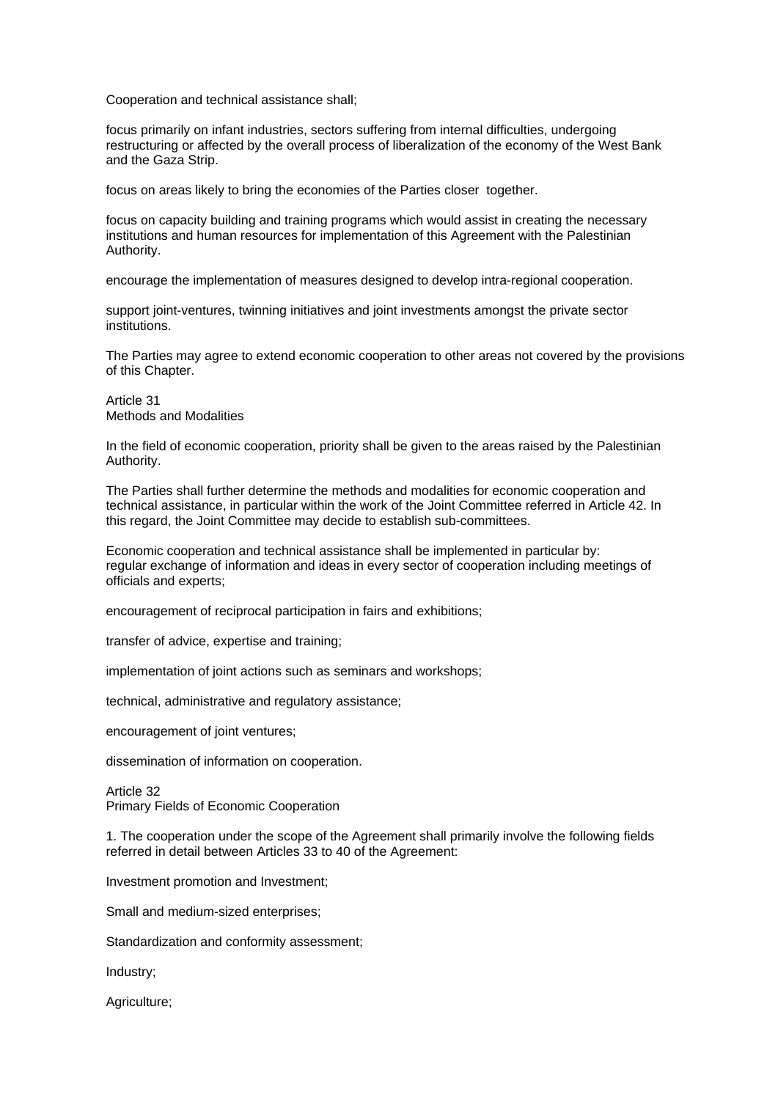Cooperation and technical assistance shall;

focus primarily on infant industries, sectors suffering from internal difficulties, undergoing restructuring or affected by the overall process of liberalization of the economy of the West Bank and the Gaza Strip.

focus on areas likely to bring the economies of the Parties closer together.

focus on capacity building and training programs which would assist in creating the necessary institutions and human resources for implementation of this Agreement with the Palestinian Authority.

encourage the implementation of measures designed to develop intra-regional cooperation.

support joint-ventures, twinning initiatives and joint investments amongst the private sector institutions.

The Parties may agree to extend economic cooperation to other areas not covered by the provisions of this Chapter.

Article 31 Methods and Modalities

In the field of economic cooperation, priority shall be given to the areas raised by the Palestinian Authority.

The Parties shall further determine the methods and modalities for economic cooperation and technical assistance, in particular within the work of the Joint Committee referred in Article 42. In this regard, the Joint Committee may decide to establish sub-committees.

Economic cooperation and technical assistance shall be implemented in particular by: regular exchange of information and ideas in every sector of cooperation including meetings of officials and experts;

encouragement of reciprocal participation in fairs and exhibitions;

transfer of advice, expertise and training;

implementation of joint actions such as seminars and workshops;

technical, administrative and regulatory assistance;

encouragement of joint ventures;

dissemination of information on cooperation.

Article 32 Primary Fields of Economic Cooperation

1. The cooperation under the scope of the Agreement shall primarily involve the following fields referred in detail between Articles 33 to 40 of the Agreement:

Investment promotion and Investment;

Small and medium-sized enterprises;

Standardization and conformity assessment;

Industry;

Agriculture;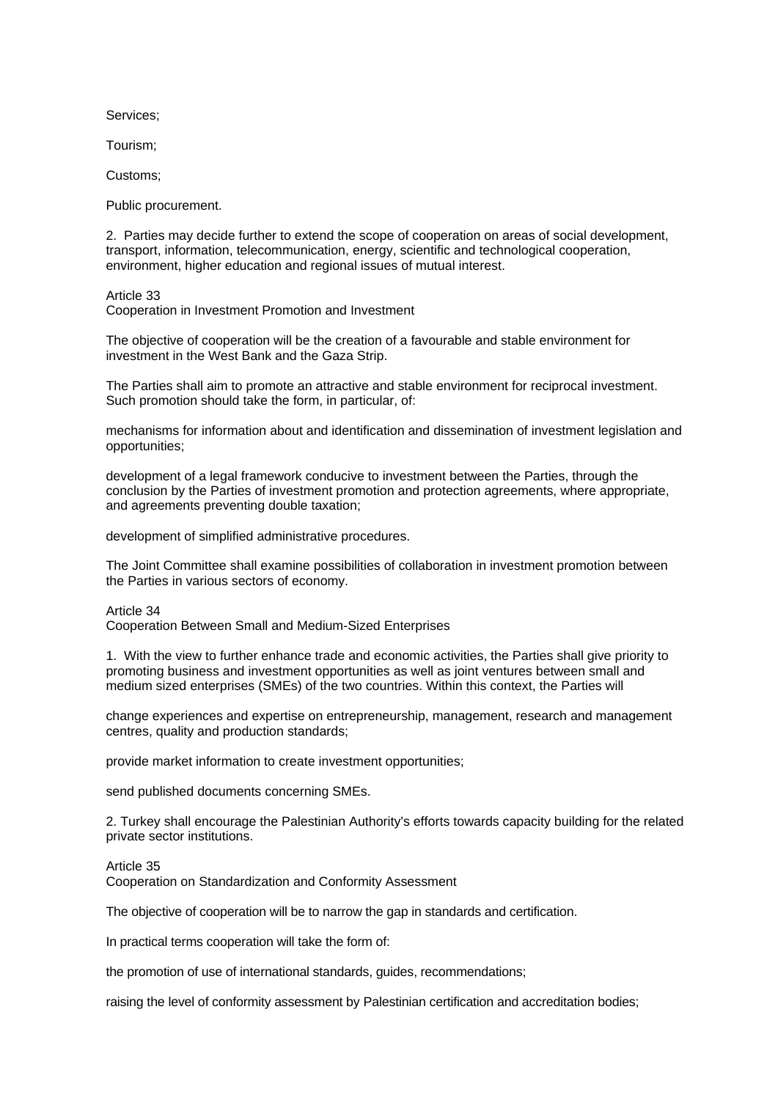Services;

Tourism;

Customs;

Public procurement.

2. Parties may decide further to extend the scope of cooperation on areas of social development, transport, information, telecommunication, energy, scientific and technological cooperation, environment, higher education and regional issues of mutual interest.

Article 33 Cooperation in Investment Promotion and Investment

The objective of cooperation will be the creation of a favourable and stable environment for investment in the West Bank and the Gaza Strip.

The Parties shall aim to promote an attractive and stable environment for reciprocal investment. Such promotion should take the form, in particular, of:

mechanisms for information about and identification and dissemination of investment legislation and opportunities;

development of a legal framework conducive to investment between the Parties, through the conclusion by the Parties of investment promotion and protection agreements, where appropriate, and agreements preventing double taxation;

development of simplified administrative procedures.

The Joint Committee shall examine possibilities of collaboration in investment promotion between the Parties in various sectors of economy.

Article 34 Cooperation Between Small and Medium-Sized Enterprises

1. With the view to further enhance trade and economic activities, the Parties shall give priority to promoting business and investment opportunities as well as joint ventures between small and medium sized enterprises (SMEs) of the two countries. Within this context, the Parties will

change experiences and expertise on entrepreneurship, management, research and management centres, quality and production standards;

provide market information to create investment opportunities;

send published documents concerning SMEs.

2. Turkey shall encourage the Palestinian Authority's efforts towards capacity building for the related private sector institutions.

Article 35

Cooperation on Standardization and Conformity Assessment

The objective of cooperation will be to narrow the gap in standards and certification.

In practical terms cooperation will take the form of:

the promotion of use of international standards, guides, recommendations;

raising the level of conformity assessment by Palestinian certification and accreditation bodies;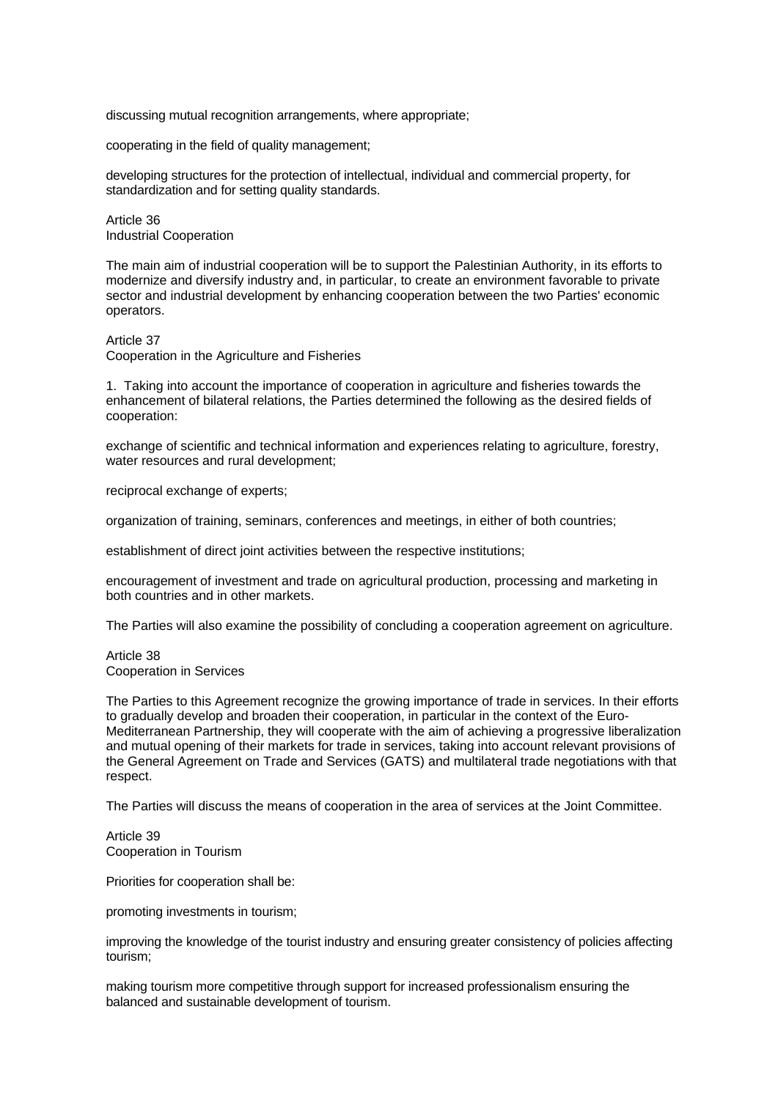discussing mutual recognition arrangements, where appropriate;

cooperating in the field of quality management;

developing structures for the protection of intellectual, individual and commercial property, for standardization and for setting quality standards.

Article 36 Industrial Cooperation

The main aim of industrial cooperation will be to support the Palestinian Authority, in its efforts to modernize and diversify industry and, in particular, to create an environment favorable to private sector and industrial development by enhancing cooperation between the two Parties' economic operators.

Article 37

Cooperation in the Agriculture and Fisheries

1. Taking into account the importance of cooperation in agriculture and fisheries towards the enhancement of bilateral relations, the Parties determined the following as the desired fields of cooperation:

exchange of scientific and technical information and experiences relating to agriculture, forestry, water resources and rural development;

reciprocal exchange of experts;

organization of training, seminars, conferences and meetings, in either of both countries;

establishment of direct joint activities between the respective institutions;

encouragement of investment and trade on agricultural production, processing and marketing in both countries and in other markets.

The Parties will also examine the possibility of concluding a cooperation agreement on agriculture.

Article 38 Cooperation in Services

The Parties to this Agreement recognize the growing importance of trade in services. In their efforts to gradually develop and broaden their cooperation, in particular in the context of the Euro-Mediterranean Partnership, they will cooperate with the aim of achieving a progressive liberalization and mutual opening of their markets for trade in services, taking into account relevant provisions of the General Agreement on Trade and Services (GATS) and multilateral trade negotiations with that respect.

The Parties will discuss the means of cooperation in the area of services at the Joint Committee.

Article 39 Cooperation in Tourism

Priorities for cooperation shall be:

promoting investments in tourism;

improving the knowledge of the tourist industry and ensuring greater consistency of policies affecting tourism;

making tourism more competitive through support for increased professionalism ensuring the balanced and sustainable development of tourism.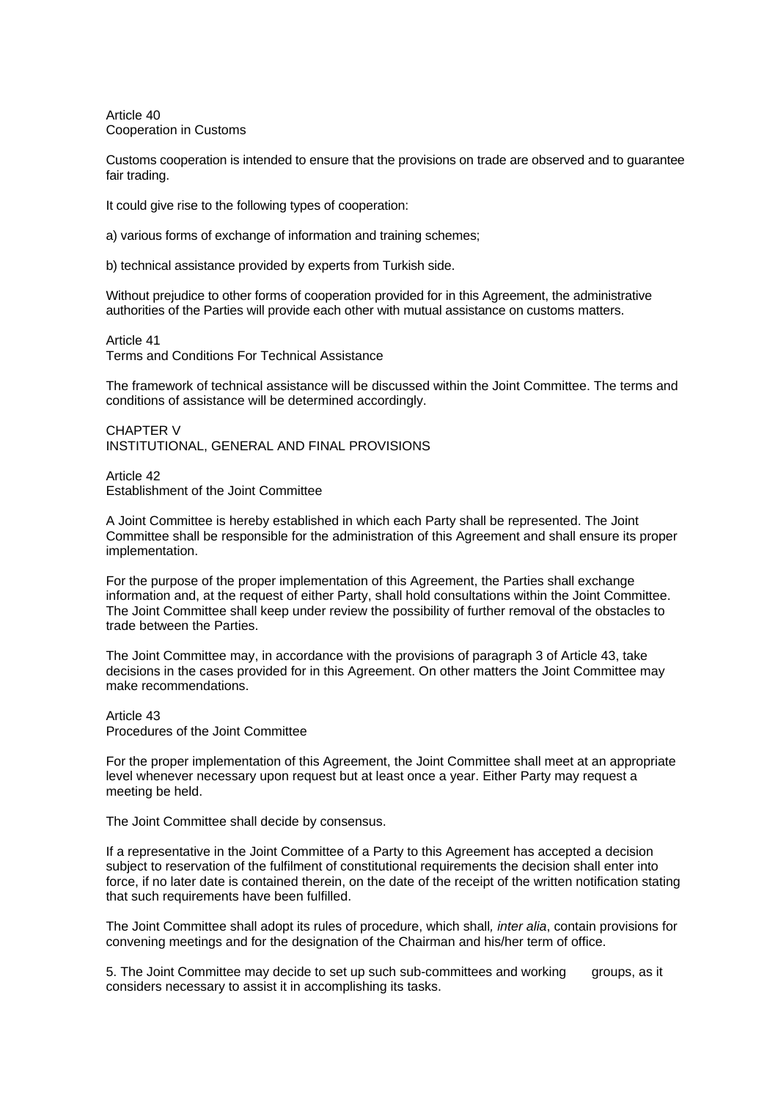Article 40 Cooperation in Customs

Customs cooperation is intended to ensure that the provisions on trade are observed and to guarantee fair trading.

It could give rise to the following types of cooperation:

a) various forms of exchange of information and training schemes;

b) technical assistance provided by experts from Turkish side.

Without prejudice to other forms of cooperation provided for in this Agreement, the administrative authorities of the Parties will provide each other with mutual assistance on customs matters.

Article 41 Terms and Conditions For Technical Assistance

The framework of technical assistance will be discussed within the Joint Committee. The terms and conditions of assistance will be determined accordingly.

CHAPTER V INSTITUTIONAL, GENERAL AND FINAL PROVISIONS

Article 42 Establishment of the Joint Committee

A Joint Committee is hereby established in which each Party shall be represented. The Joint Committee shall be responsible for the administration of this Agreement and shall ensure its proper implementation.

For the purpose of the proper implementation of this Agreement, the Parties shall exchange information and, at the request of either Party, shall hold consultations within the Joint Committee. The Joint Committee shall keep under review the possibility of further removal of the obstacles to trade between the Parties.

The Joint Committee may, in accordance with the provisions of paragraph 3 of Article 43, take decisions in the cases provided for in this Agreement. On other matters the Joint Committee may make recommendations.

Article 43 Procedures of the Joint Committee

For the proper implementation of this Agreement, the Joint Committee shall meet at an appropriate level whenever necessary upon request but at least once a year. Either Party may request a meeting be held.

The Joint Committee shall decide by consensus.

If a representative in the Joint Committee of a Party to this Agreement has accepted a decision subject to reservation of the fulfilment of constitutional requirements the decision shall enter into force, if no later date is contained therein, on the date of the receipt of the written notification stating that such requirements have been fulfilled.

The Joint Committee shall adopt its rules of procedure, which shall*, inter alia*, contain provisions for convening meetings and for the designation of the Chairman and his/her term of office.

5. The Joint Committee may decide to set up such sub-committees and working groups, as it considers necessary to assist it in accomplishing its tasks.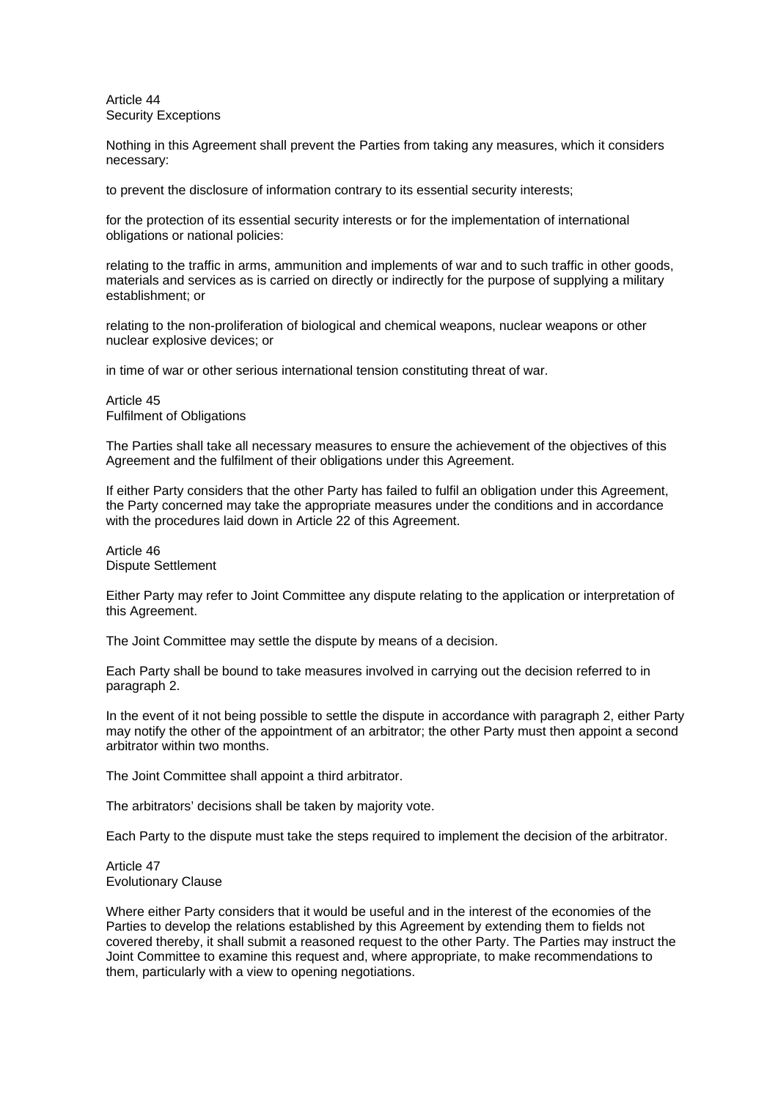Article 44 Security Exceptions

Nothing in this Agreement shall prevent the Parties from taking any measures, which it considers necessary:

to prevent the disclosure of information contrary to its essential security interests;

for the protection of its essential security interests or for the implementation of international obligations or national policies:

relating to the traffic in arms, ammunition and implements of war and to such traffic in other goods, materials and services as is carried on directly or indirectly for the purpose of supplying a military establishment; or

relating to the non-proliferation of biological and chemical weapons, nuclear weapons or other nuclear explosive devices; or

in time of war or other serious international tension constituting threat of war.

Article 45 Fulfilment of Obligations

The Parties shall take all necessary measures to ensure the achievement of the objectives of this Agreement and the fulfilment of their obligations under this Agreement.

If either Party considers that the other Party has failed to fulfil an obligation under this Agreement, the Party concerned may take the appropriate measures under the conditions and in accordance with the procedures laid down in Article 22 of this Agreement.

Article 46 Dispute Settlement

Either Party may refer to Joint Committee any dispute relating to the application or interpretation of this Agreement.

The Joint Committee may settle the dispute by means of a decision.

Each Party shall be bound to take measures involved in carrying out the decision referred to in paragraph 2.

In the event of it not being possible to settle the dispute in accordance with paragraph 2, either Party may notify the other of the appointment of an arbitrator; the other Party must then appoint a second arbitrator within two months.

The Joint Committee shall appoint a third arbitrator.

The arbitrators' decisions shall be taken by majority vote.

Each Party to the dispute must take the steps required to implement the decision of the arbitrator.

Article 47 Evolutionary Clause

Where either Party considers that it would be useful and in the interest of the economies of the Parties to develop the relations established by this Agreement by extending them to fields not covered thereby, it shall submit a reasoned request to the other Party. The Parties may instruct the Joint Committee to examine this request and, where appropriate, to make recommendations to them, particularly with a view to opening negotiations.